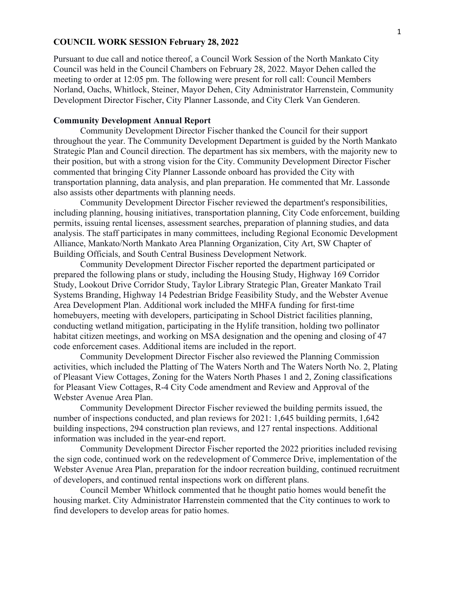## **COUNCIL WORK SESSION February 28, 2022**

Pursuant to due call and notice thereof, a Council Work Session of the North Mankato City Council was held in the Council Chambers on February 28, 2022. Mayor Dehen called the meeting to order at 12:05 pm. The following were present for roll call: Council Members Norland, Oachs, Whitlock, Steiner, Mayor Dehen, City Administrator Harrenstein, Community Development Director Fischer, City Planner Lassonde, and City Clerk Van Genderen.

## **Community Development Annual Report**

Community Development Director Fischer thanked the Council for their support throughout the year. The Community Development Department is guided by the North Mankato Strategic Plan and Council direction. The department has six members, with the majority new to their position, but with a strong vision for the City. Community Development Director Fischer commented that bringing City Planner Lassonde onboard has provided the City with transportation planning, data analysis, and plan preparation. He commented that Mr. Lassonde also assists other departments with planning needs.

Community Development Director Fischer reviewed the department's responsibilities, including planning, housing initiatives, transportation planning, City Code enforcement, building permits, issuing rental licenses, assessment searches, preparation of planning studies, and data analysis. The staff participates in many committees, including Regional Economic Development Alliance, Mankato/North Mankato Area Planning Organization, City Art, SW Chapter of Building Officials, and South Central Business Development Network.

Community Development Director Fischer reported the department participated or prepared the following plans or study, including the Housing Study, Highway 169 Corridor Study, Lookout Drive Corridor Study, Taylor Library Strategic Plan, Greater Mankato Trail Systems Branding, Highway 14 Pedestrian Bridge Feasibility Study, and the Webster Avenue Area Development Plan. Additional work included the MHFA funding for first-time homebuyers, meeting with developers, participating in School District facilities planning, conducting wetland mitigation, participating in the Hylife transition, holding two pollinator habitat citizen meetings, and working on MSA designation and the opening and closing of 47 code enforcement cases. Additional items are included in the report.

Community Development Director Fischer also reviewed the Planning Commission activities, which included the Platting of The Waters North and The Waters North No. 2, Plating of Pleasant View Cottages, Zoning for the Waters North Phases 1 and 2, Zoning classifications for Pleasant View Cottages, R-4 City Code amendment and Review and Approval of the Webster Avenue Area Plan.

Community Development Director Fischer reviewed the building permits issued, the number of inspections conducted, and plan reviews for 2021: 1,645 building permits, 1,642 building inspections, 294 construction plan reviews, and 127 rental inspections. Additional information was included in the year-end report.

Community Development Director Fischer reported the 2022 priorities included revising the sign code, continued work on the redevelopment of Commerce Drive, implementation of the Webster Avenue Area Plan, preparation for the indoor recreation building, continued recruitment of developers, and continued rental inspections work on different plans.

Council Member Whitlock commented that he thought patio homes would benefit the housing market. City Administrator Harrenstein commented that the City continues to work to find developers to develop areas for patio homes.